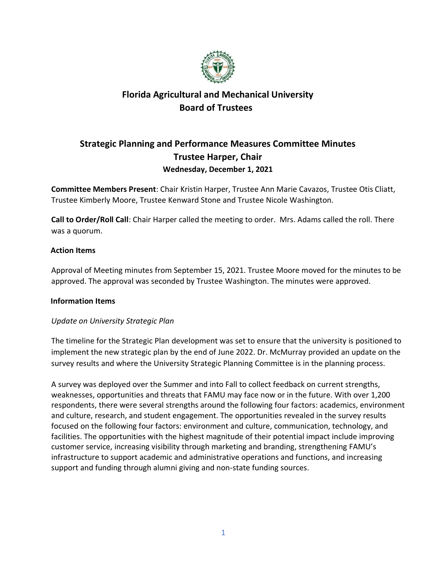

### **Strategic Planning and Performance Measures Committee Minutes Trustee Harper, Chair Wednesday, December 1, 2021**

**Committee Members Present**: Chair Kristin Harper, Trustee Ann Marie Cavazos, Trustee Otis Cliatt, Trustee Kimberly Moore, Trustee Kenward Stone and Trustee Nicole Washington.

**Call to Order/Roll Call**: Chair Harper called the meeting to order. Mrs. Adams called the roll. There was a quorum.

#### **Action Items**

Approval of Meeting minutes from September 15, 2021. Trustee Moore moved for the minutes to be approved. The approval was seconded by Trustee Washington. The minutes were approved.

#### **Information Items**

#### *Update on University Strategic Plan*

The timeline for the Strategic Plan development was set to ensure that the university is positioned to implement the new strategic plan by the end of June 2022. Dr. McMurray provided an update on the survey results and where the University Strategic Planning Committee is in the planning process.

A survey was deployed over the Summer and into Fall to collect feedback on current strengths, weaknesses, opportunities and threats that FAMU may face now or in the future. With over 1,200 respondents, there were several strengths around the following four factors: academics, environment and culture, research, and student engagement. The opportunities revealed in the survey results focused on the following four factors: environment and culture, communication, technology, and facilities. The opportunities with the highest magnitude of their potential impact include improving customer service, increasing visibility through marketing and branding, strengthening FAMU's infrastructure to support academic and administrative operations and functions, and increasing support and funding through alumni giving and non-state funding sources.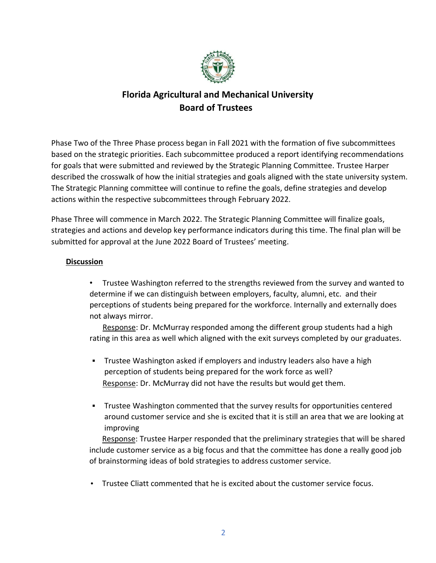

Phase Two of the Three Phase process began in Fall 2021 with the formation of five subcommittees based on the strategic priorities. Each subcommittee produced a report identifying recommendations for goals that were submitted and reviewed by the Strategic Planning Committee. Trustee Harper described the crosswalk of how the initial strategies and goals aligned with the state university system. The Strategic Planning committee will continue to refine the goals, define strategies and develop actions within the respective subcommittees through February 2022.

Phase Three will commence in March 2022. The Strategic Planning Committee will finalize goals, strategies and actions and develop key performance indicators during this time. The final plan will be submitted for approval at the June 2022 Board of Trustees' meeting.

### **Discussion**

• Trustee Washington referred to the strengths reviewed from the survey and wanted to determine if we can distinguish between employers, faculty, alumni, etc. and their perceptions of students being prepared for the workforce. Internally and externally does not always mirror.

Response: Dr. McMurray responded among the different group students had a high rating in this area as well which aligned with the exit surveys completed by our graduates.

- Trustee Washington asked if employers and industry leaders also have a high perception of students being prepared for the work force as well? Response: Dr. McMurray did not have the results but would get them.
- Trustee Washington commented that the survey results for opportunities centered around customer service and she is excited that it is still an area that we are looking at improving

Response: Trustee Harper responded that the preliminary strategies that will be shared include customer service as a big focus and that the committee has done a really good job of brainstorming ideas of bold strategies to address customer service.

• Trustee Cliatt commented that he is excited about the customer service focus.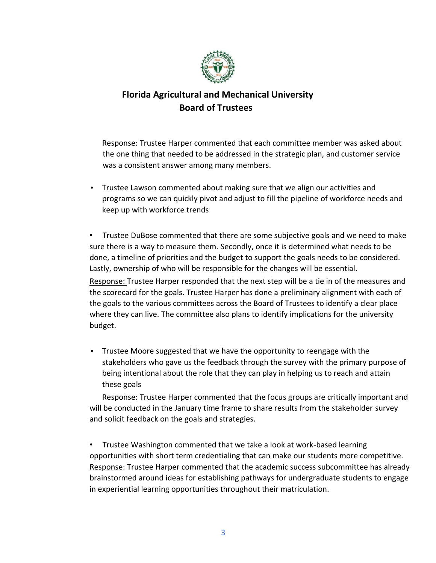

Response: Trustee Harper commented that each committee member was asked about the one thing that needed to be addressed in the strategic plan, and customer service was a consistent answer among many members.

• Trustee Lawson commented about making sure that we align our activities and programs so we can quickly pivot and adjust to fill the pipeline of workforce needs and keep up with workforce trends

• Trustee DuBose commented that there are some subjective goals and we need to make sure there is a way to measure them. Secondly, once it is determined what needs to be done, a timeline of priorities and the budget to support the goals needs to be considered. Lastly, ownership of who will be responsible for the changes will be essential.

Response: Trustee Harper responded that the next step will be a tie in of the measures and the scorecard for the goals. Trustee Harper has done a preliminary alignment with each of the goals to the various committees across the Board of Trustees to identify a clear place where they can live. The committee also plans to identify implications for the university budget.

• Trustee Moore suggested that we have the opportunity to reengage with the stakeholders who gave us the feedback through the survey with the primary purpose of being intentional about the role that they can play in helping us to reach and attain these goals

Response: Trustee Harper commented that the focus groups are critically important and will be conducted in the January time frame to share results from the stakeholder survey and solicit feedback on the goals and strategies.

• Trustee Washington commented that we take a look at work-based learning opportunities with short term credentialing that can make our students more competitive. Response: Trustee Harper commented that the academic success subcommittee has already brainstormed around ideas for establishing pathways for undergraduate students to engage in experiential learning opportunities throughout their matriculation.